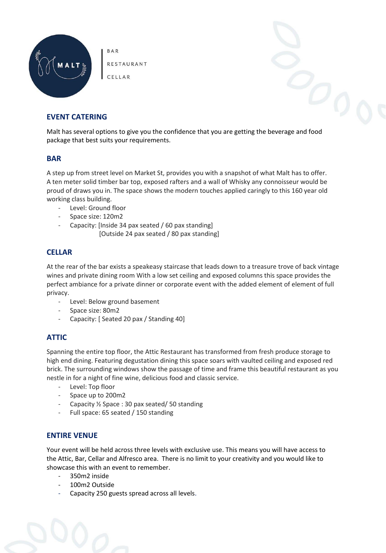

RESTAURANT

**BAR** 

CELLAR

# **EVENT CATERING**

Malt has several options to give you the confidence that you are getting the beverage and food package that best suits your requirements.

## **BAR**

A step up from street level on Market St, provides you with a snapshot of what Malt has to offer. A ten meter solid timber bar top, exposed rafters and a wall of Whisky any connoisseur would be proud of draws you in. The space shows the modern touches applied caringly to this 160 year old working class building.

- Level: Ground floor
- Space size: 120m2
- Capacity: [Inside 34 pax seated / 60 pax standing]
	- [Outside 24 pax seated / 80 pax standing]

## **CELLAR**

At the rear of the bar exists a speakeasy staircase that leads down to a treasure trove of back vintage wines and private dining room With a low set ceiling and exposed columns this space provides the perfect ambiance for a private dinner or corporate event with the added element of element of full privacy.

- Level: Below ground basement
- Space size: 80m2
- Capacity: [ Seated 20 pax / Standing 40]

# **ATTIC**

Spanning the entire top floor, the Attic Restaurant has transformed from fresh produce storage to high end dining. Featuring degustation dining this space soars with vaulted ceiling and exposed red brick. The surrounding windows show the passage of time and frame this beautiful restaurant as you nestle in for a night of fine wine, delicious food and classic service.

- Level: Top floor
- Space up to 200m2
- Capacity ½ Space : 30 pax seated/ 50 standing
- Full space: 65 seated / 150 standing

# **ENTIRE VENUE**

Your event will be held across three levels with exclusive use. This means you will have access to the Attic, Bar, Cellar and Alfresco area. There is no limit to your creativity and you would like to showcase this with an event to remember.

- 350m2 inside
- 100m2 Outside
- Capacity 250 guests spread across all levels.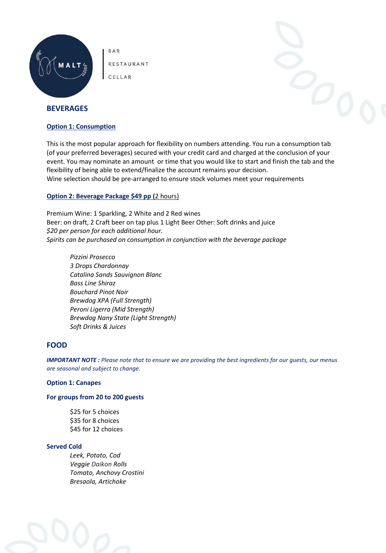

RESTAURANT

**BAR** 

CELLAR

## **BEVERAGES**

## **Option 1: Consumption**

This is the most popular approach for flexibility on numbers attending. You run a consumption tab (of your preferred beverages) secured with your credit card and charged at the conclusion of your event. You may nominate an amount or time that you would like to start and finish the tab and the flexibility of being able to extend/finalize the account remains your decision. Wine selection should be pre-arranged to ensure stock volumes meet your requirements

## **Option 2: Beverage Package \$49 pp (**2 hours)

Premium Wine: 1 Sparkling, 2 White and 2 Red wines Beer: on draft, 2 Craft beer on tap plus 1 Light Beer Other: Soft drinks and juice *\$20 per person for each additional hour. Spirits can be purchased on consumption in conjunction with the beverage package*

*Pizzini Prosecco 3 Drops Chardonnay Catalina Sands Sauvignon Blanc Bass Line Shiraz Bouchard Pinot Noir Brewdog XPA (Full Strength) Peroni Ligerra (Mid Strength) Brewdog Nany State (Light Strength) Soft Drinks & Juices*

## **FOOD**

*IMPORTANT NOTE : Please note that to ensure we are providing the best ingredients for our guests, our menus are seasonal and subject to change.*

## **Option 1: Canapes**

## **For groups from 20 to 200 guests**

\$25 for 5 choices \$35 for 8 choices \$45 for 12 choices

## **Served Cold**

*Leek, Potato, Cod Veggie Daikon Rolls Tomato, Anchovy Crostini Bresaola, Artichoke*

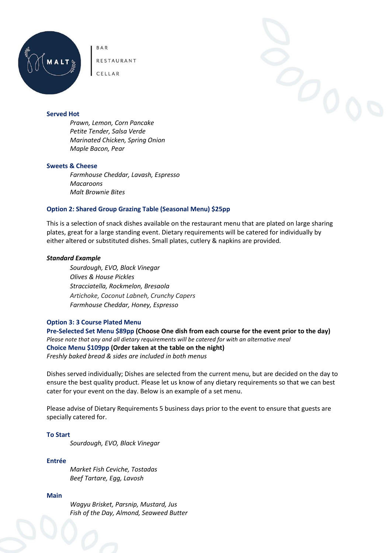

BAR RESTAURANT

CELLAR



#### **Served Hot**

*Prawn, Lemon, Corn Pancake Petite Tender, Salsa Verde Marinated Chicken, Spring Onion Maple Bacon, Pear*

#### **Sweets & Cheese**

*Farmhouse Cheddar, Lavash, Espresso Macaroons Malt Brownie Bites*

## **Option 2: Shared Group Grazing Table (Seasonal Menu) \$25pp**

This is a selection of snack dishes available on the restaurant menu that are plated on large sharing plates, great for a large standing event. Dietary requirements will be catered for individually by either altered or substituted dishes. Small plates, cutlery & napkins are provided*.*

#### *Standard Example*

*Sourdough, EVO, Black Vinegar Olives & House Pickles Stracciatella, Rockmelon, Bresaola Artichoke, Coconut Labneh, Crunchy Capers Farmhouse Cheddar, Honey, Espresso*

#### **Option 3: 3 Course Plated Menu**

**Pre-Selected Set Menu \$89pp (Choose One dish from each course for the event prior to the day)** *Please note that any and all dietary requirements will be catered for with an alternative meal* **Choice Menu \$109pp (Order taken at the table on the night)** *Freshly baked bread & sides are included in both menus* 

Dishes served individually; Dishes are selected from the current menu, but are decided on the day to ensure the best quality product. Please let us know of any dietary requirements so that we can best cater for your event on the day. Below is an example of a set menu.

Please advise of Dietary Requirements 5 business days prior to the event to ensure that guests are specially catered for.

#### **To Start**

*Sourdough, EVO, Black Vinegar* 

## **Entrée**

*Market Fish Ceviche, Tostadas Beef Tartare, Egg, Lavosh*

## **Main**

*Wagyu Brisket, Parsnip, Mustard, Jus Fish of the Day, Almond, Seaweed Butter*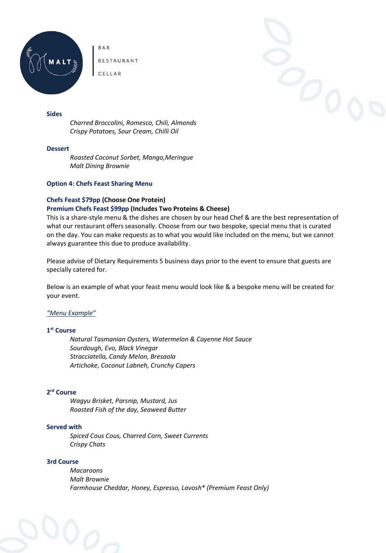

BAR RESTAURANT

CELLAR

## **Sides**

*Charred Broccolini, Romesco, Chili, Almonds Crispy Potatoes, Sour Cream, Chilli Oil* 

#### **Dessert**

*Roasted Coconut Sorbet, Mango,Meringue Malt Dining Brownie*

#### **Option 4: Chefs Feast Sharing Menu**

## **Chefs Feast \$79pp (Choose One Protein) Premium Chefs Feast \$99pp (Includes Two Proteins & Cheese)**

This is a share-style menu & the dishes are chosen by our head Chef & are the best representation of what our restaurant offers seasonally. Choose from our two bespoke, special menu that is curated on the day. You can make requests as to what you would like included on the menu, but we cannot always guarantee this due to produce availability.

Please advise of Dietary Requirements 5 business days prior to the event to ensure that guests are specially catered for.

Below is an example of what your feast menu would look like & a bespoke menu will be created for your event.

## *"Menu Example"*

## **1 st Course**

*Natural Tasmanian Oysters, Watermelon & Cayenne Hot Sauce Sourdough, Evo, Black Vinegar Stracciatella, Candy Melon, Bresaola Artichoke, Coconut Labneh, Crunchy Capers*

#### **2 rd Course**

*Wagyu Brisket, Parsnip, Mustard, Jus Roasted Fish of the day, Seaweed Butter*

#### **Served with**

*Spiced Cous Cous, Charred Corn, Sweet Currents Crispy Chats*

## **3rd Course**

*Macaroons Malt Brownie Farmhouse Cheddar, Honey, Espresso, Lavosh\* (Premium Feast Only)*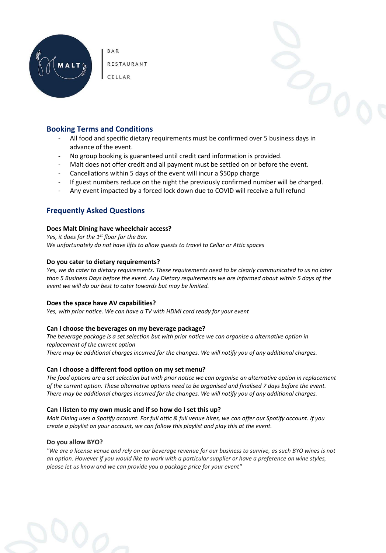

**BAR** 

RESTAURANT

CELLAR

# **Booking Terms and Conditions**

- All food and specific dietary requirements must be confirmed over 5 business days in advance of the event.
- No group booking is guaranteed until credit card information is provided.
- Malt does not offer credit and all payment must be settled on or before the event.
- Cancellations within 5 days of the event will incur a \$50pp charge
- If guest numbers reduce on the night the previously confirmed number will be charged.
- Any event impacted by a forced lock down due to COVID will receive a full refund

# **Frequently Asked Questions**

#### **Does Malt Dining have wheelchair access?**

*Yes, it does for the 1st floor for the Bar. We unfortunately do not have lifts to allow guests to travel to Cellar or Attic spaces*

## **Do you cater to dietary requirements?**

*Yes, we do cater to dietary requirements. These requirements need to be clearly communicated to us no later than 5 Business Days before the event. Any Dietary requirements we are informed about within 5 days of the event we will do our best to cater towards but may be limited.* 

## **Does the space have AV capabilities?**

*Yes, with prior notice. We can have a TV with HDMI cord ready for your event* 

## **Can I choose the beverages on my beverage package?**

*The beverage package is a set selection but with prior notice we can organise a alternative option in replacement of the current option*

*There may be additional charges incurred for the changes. We will notify you of any additional charges.*

## **Can I choose a different food option on my set menu?**

*The food options are a set selection but with prior notice we can organise an alternative option in replacement of the current option. These alternative options need to be organised and finalised 7 days before the event. There may be additional charges incurred for the changes. We will notify you of any additional charges.*

## **Can I listen to my own music and if so how do I set this up?**

*Malt Dining uses a Spotify account. For full attic & full venue hires, we can offer our Spotify account. If you create a playlist on your account, we can follow this playlist and play this at the event.*

## **Do you allow BYO?**

*"We are a license venue and rely on our beverage revenue for our business to survive, as such BYO wines is not an option. However if you would like to work with a particular supplier or have a preference on wine styles, please let us know and we can provide you a package price for your event"*